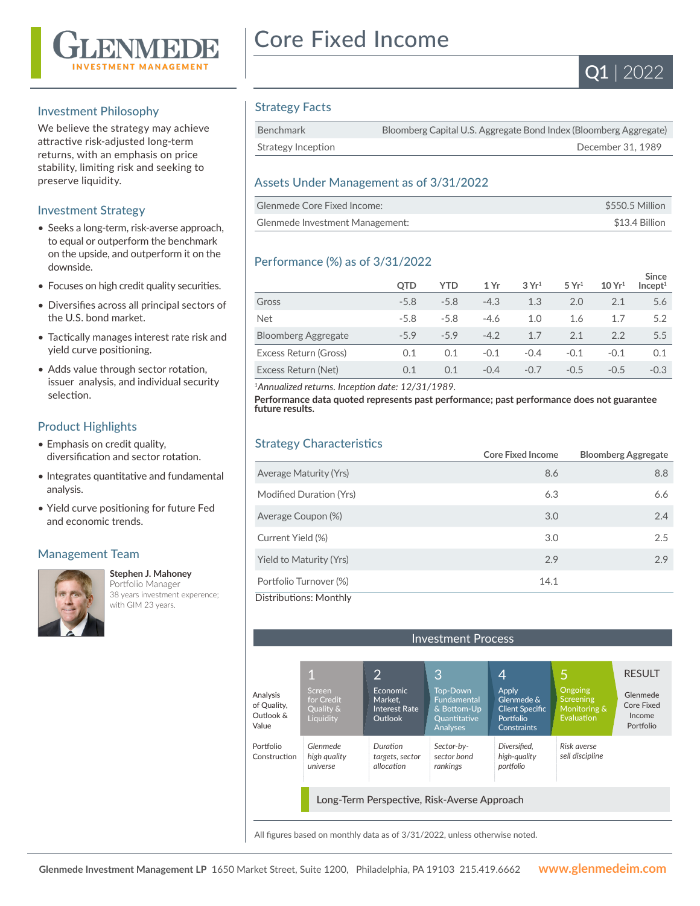

#### Investment Philosophy

We believe the strategy may achieve attractive risk-adjusted long-term returns, with an emphasis on price stability, limiting risk and seeking to preserve liquidity.

#### Investment Strategy

- Seeks a long-term, risk-averse approach, to equal or outperform the benchmark on the upside, and outperform it on the downside.
- Focuses on high credit quality securities.
- Diversifies across all principal sectors of the U.S. bond market.
- Tactically manages interest rate risk and yield curve positioning.
- Adds value through sector rotation, issuer analysis, and individual security selection.

#### Product Highlights

- Emphasis on credit quality, diversification and sector rotation.
- Integrates quantitative and fundamental analysis.
- Yield curve positioning for future Fed and economic trends.

## Management Team



#### **Stephen J. Mahoney**

Portfolio Manager 38 years investment experence; with GIM 23 years. 

# Core Fixed Income



### Strategy Facts

| Benchmark          | Bloomberg Capital U.S. Aggregate Bond Index (Bloomberg Aggregate) |
|--------------------|-------------------------------------------------------------------|
| Strategy Inception | December 31, 1989                                                 |

#### Assets Under Management as of 3/31/2022

| Glenmede Core Fixed Income:     | \$550.5 Million |
|---------------------------------|-----------------|
| Glenmede Investment Management: | \$13.4 Billion  |

#### Performance (%) as of 3/31/2022

|                            | <b>OTD</b> | YTD    | 1 Yr   | 3Yr <sup>1</sup> | 5 Yr <sup>1</sup> | 10 Yr <sup>1</sup> | <b>Since</b><br>Incept <sup>1</sup> |
|----------------------------|------------|--------|--------|------------------|-------------------|--------------------|-------------------------------------|
| Gross                      | $-5.8$     | $-5.8$ | $-4.3$ | 1.3              | 2.0               | 2.1                | 5.6                                 |
| <b>Net</b>                 | $-5.8$     | $-5.8$ | $-4.6$ | 1.0              | 1.6               | 1.7                | 5.2                                 |
| <b>Bloomberg Aggregate</b> | $-59$      | $-59$  | $-4.2$ | 1.7              | 2.1               | 2.2                | 5.5                                 |
| Excess Return (Gross)      | 0.1        | 0.1    | $-0.1$ | $-0.4$           | $-0.1$            | $-0.1$             | 0.1                                 |
| Excess Return (Net)        | 0.1        | 0.1    | $-0.4$ | $-0.7$           | $-0.5$            | $-0.5$             | $-0.3$                              |

*<sup>1</sup>Annualized returns. Inception date: 12/31/1989.*

**Performance data quoted represents past performance; past performance does not guarantee future results.**

### Strategy Characteristics

|                               | <b>Core Fixed Income</b> | <b>Bloomberg Aggregate</b> |
|-------------------------------|--------------------------|----------------------------|
| <b>Average Maturity (Yrs)</b> | 8.6                      | 8.8                        |
| Modified Duration (Yrs)       | 6.3                      | 6.6                        |
| Average Coupon (%)            | 3.0                      | 2.4                        |
| Current Yield (%)             | 3.0                      | 2.5                        |
| Yield to Maturity (Yrs)       | 2.9                      | 2.9                        |
| Portfolio Turnover (%)        | 14.1                     |                            |
| Distributions: Monthly        |                          |                            |



All figures based on monthly data as of 3/31/2022, unless otherwise noted.